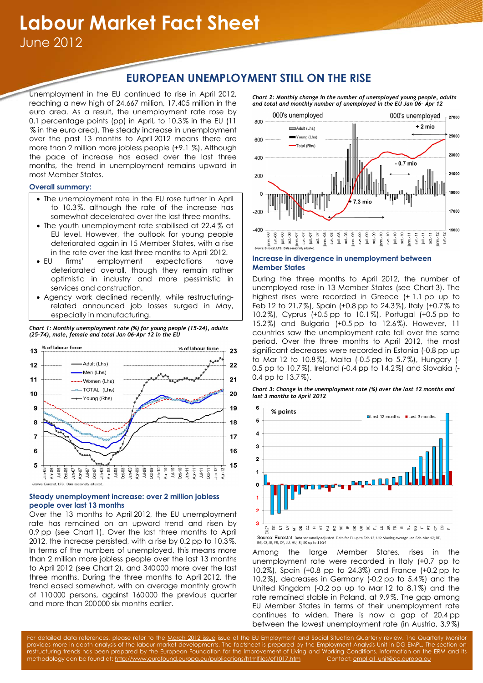# **EUROPEAN UNEMPLOYMENT STILL ON THE RISE**

Unemployment in the EU continued to rise in April 2012, reaching a new high of 24,667 million, 17,405 million in the euro area. As a result, the unemployment rate rose by 0.1 percentage points (pp) in April, to 10.3% in the EU (11 % in the euro area). The steady increase in unemployment over the past 13 months to April 2012 means there are more than 2 million more jobless people (+9.1 %). Although the pace of increase has eased over the last three months, the trend in unemployment remains upward in most Member States.

# **Overall summary:**

- The unemployment rate in the EU rose further in April to 10.3%, although the rate of the increase has somewhat decelerated over the last three months.
- The youth unemployment rate stabilised at 22.4 % at EU level. However, the outlook for young people deteriorated again in 15 Member States, with a rise in the rate over the last three months to April 2012.
- EU firms' employment expectations have deteriorated overall, though they remain rather optimistic in industry and more pessimistic in services and construction.
- Agency work declined recently, while restructuringrelated announced job losses surged in May, especially in manufacturing.

*Chart 1: Monthly unemployment rate (%) for young people (15-24), adults (25-74), male, female and total Jan 06–Apr 12 in the EU* 



# **Steady unemployment increase: over 2 million jobless people over last 13 months**

Over the 13 months to April 2012, the EU unemployment rate has remained on an upward trend and risen by 0.9 pp (see Chart 1). Over the last three months to April 2012, the increase persisted, with a rise by 0.2 pp to 10.3%. In terms of the numbers of unemployed, this means more than 2 million more jobless people over the last 13 months to April 2012 (see Chart 2), and 340 000 more over the last three months. During the three months to April 2012, the trend eased somewhat, with on average monthly growth of 110 000 persons, against 160 000 the previous quarter and more than 200000 six months earlier.

*Chart 2: Monthly change in the number of unemployed young people, adults and total and monthly number of unemployed in the EU Jan 06– Apr 12* 



# **Increase in divergence in unemployment between Member States**

During the three months to April 2012, the number of unemployed rose in 13 Member States (see Chart 3). The highest rises were recorded in Greece (+ 1.1 pp up to Feb 12 to 21.7%), Spain (+0.8 pp to 24.3%), Italy (+0.7% to 10.2%), Cyprus (+0.5 pp to 10.1%), Portugal (+0.5 pp to 15.2%) and Bulgaria (+0.5 pp to 12.6%). However, 11 countries saw the unemployment rate fall over the same period. Over the three months to April 2012, the most significant decreases were recorded in Estonia (-0.8 pp up to Mar 12 to 10.8%), Malta (-0.5 pp to 5.7%), Hungary (- 0.5 pp to 10.7%), Ireland (-0.4 pp to 14.2%) and Slovakia (- 0.4 pp to 13.7%).

*Chart 3: Change in the unemployment rate (%) over the last 12 months and last 3 months to April 2012* 



Among the large Member States, rises in the unemployment rate were recorded in Italy (+0.7 pp to 10.2%), Spain (+0.8 pp to 24.3%) and France (+0.2 pp to 10.2%), decreases in Germany (-0.2 pp to 5.4%) and the United Kingdom (-0.2 pp up to Mar 12 to 8.1%) and the rate remained stable in Poland, at 9.9%. The gap among EU Member States in terms of their unemployment rate continues to widen. There is now a gap of 20.4 pp between the lowest unemployment rate (in Austria, 3.9%)

For detailed data references, please refer to the March 2012 issue issue of the EU Employment and Social Situation Quarterly review. The Quarterly Monitor provides more in-depth analysis of the labour market developments. The factsheet is prepared by the Employment Analysis Unit in DG EMPL. The section on restructuring trends has been prepared by the European Foundation for the Improvement of Living and Working Conditions. Information on the ERM and its methodology can be found at: http://www.eurofound.europa.eu/publications/htmlfiles/ef1017.htm Contact: empl-a1-unit@ec.europa.eu